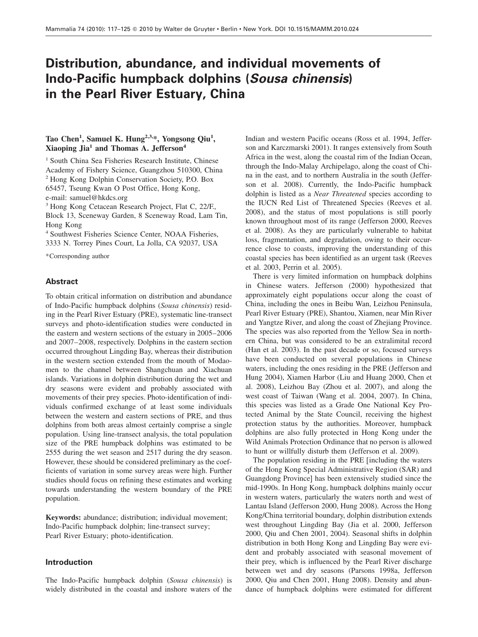# **Distribution, abundance, and individual movements of Indo-Pacific humpback dolphins (***Sousa chinensis***) in the Pearl River Estuary, China**

# Tao Chen<sup>1</sup>, Samuel K. Hung<sup>2,3,\*</sup>, Yongsong Qiu<sup>1</sup>, **Xiaoping Jia1 and Thomas A. Jefferson4**

<sup>1</sup> South China Sea Fisheries Research Institute, Chinese Academy of Fishery Science, Guangzhou 510300, China <sup>2</sup> Hong Kong Dolphin Conservation Society, P.O. Box 65457, Tseung Kwan O Post Office, Hong Kong, e-mail: samuel@hkdcs.org

<sup>3</sup> Hong Kong Cetacean Research Project, Flat C, 22/F.,

Block 13, Sceneway Garden, 8 Sceneway Road, Lam Tin, Hong Kong

<sup>4</sup> Southwest Fisheries Science Center, NOAA Fisheries, 3333 N. Torrey Pines Court, La Jolla, CA 92037, USA

\*Corresponding author

# **Abstract**

To obtain critical information on distribution and abundance of Indo-Pacific humpback dolphins (*Sousa chinensis*) residing in the Pearl River Estuary (PRE), systematic line-transect surveys and photo-identification studies were conducted in the eastern and western sections of the estuary in 2005–2006 and 2007–2008, respectively. Dolphins in the eastern section occurred throughout Lingding Bay, whereas their distribution in the western section extended from the mouth of Modaomen to the channel between Shangchuan and Xiachuan islands. Variations in dolphin distribution during the wet and dry seasons were evident and probably associated with movements of their prey species. Photo-identification of individuals confirmed exchange of at least some individuals between the western and eastern sections of PRE, and thus dolphins from both areas almost certainly comprise a single population. Using line-transect analysis, the total population size of the PRE humpback dolphins was estimated to be 2555 during the wet season and 2517 during the dry season. However, these should be considered preliminary as the coefficients of variation in some survey areas were high. Further studies should focus on refining these estimates and working towards understanding the western boundary of the PRE population.

**Keywords:** abundance; distribution; individual movement; Indo-Pacific humpback dolphin; line-transect survey; Pearl River Estuary; photo-identification.

## **Introduction**

The Indo-Pacific humpback dolphin (*Sousa chinensis*) is widely distributed in the coastal and inshore waters of the Indian and western Pacific oceans (Ross et al. 1994, Jefferson and Karczmarski 2001). It ranges extensively from South Africa in the west, along the coastal rim of the Indian Ocean, through the Indo-Malay Archipelago, along the coast of China in the east, and to northern Australia in the south (Jefferson et al. 2008). Currently, the Indo-Pacific humpback dolphin is listed as a *Near Threatened* species according to the IUCN Red List of Threatened Species (Reeves et al. 2008), and the status of most populations is still poorly known throughout most of its range (Jefferson 2000, Reeves et al. 2008). As they are particularly vulnerable to habitat loss, fragmentation, and degradation, owing to their occurrence close to coasts, improving the understanding of this coastal species has been identified as an urgent task (Reeves et al. 2003, Perrin et al. 2005).

There is very limited information on humpback dolphins in Chinese waters. Jefferson (2000) hypothesized that approximately eight populations occur along the coast of China, including the ones in Beibu Wan, Leizhou Peninsula, Pearl River Estuary (PRE), Shantou, Xiamen, near Min River and Yangtze River, and along the coast of Zhejiang Province. The species was also reported from the Yellow Sea in northern China, but was considered to be an extralimital record (Han et al. 2003). In the past decade or so, focused surveys have been conducted on several populations in Chinese waters, including the ones residing in the PRE (Jefferson and Hung 2004), Xiamen Harbor (Liu and Huang 2000, Chen et al. 2008), Leizhou Bay (Zhou et al. 2007), and along the west coast of Taiwan (Wang et al. 2004, 2007). In China, this species was listed as a Grade One National Key Protected Animal by the State Council, receiving the highest protection status by the authorities. Moreover, humpback dolphins are also fully protected in Hong Kong under the Wild Animals Protection Ordinance that no person is allowed to hunt or willfully disturb them (Jefferson et al. 2009).

The population residing in the PRE [including the waters of the Hong Kong Special Administrative Region (SAR) and Guangdong Province] has been extensively studied since the mid-1990s. In Hong Kong, humpback dolphins mainly occur in western waters, particularly the waters north and west of Lantau Island (Jefferson 2000, Hung 2008). Across the Hong Kong/China territorial boundary, dolphin distribution extends west throughout Lingding Bay (Jia et al. 2000, Jefferson 2000, Qiu and Chen 2001, 2004). Seasonal shifts in dolphin distribution in both Hong Kong and Lingding Bay were evident and probably associated with seasonal movement of their prey, which is influenced by the Pearl River discharge between wet and dry seasons (Parsons 1998a, Jefferson 2000, Qiu and Chen 2001, Hung 2008). Density and abundance of humpback dolphins were estimated for different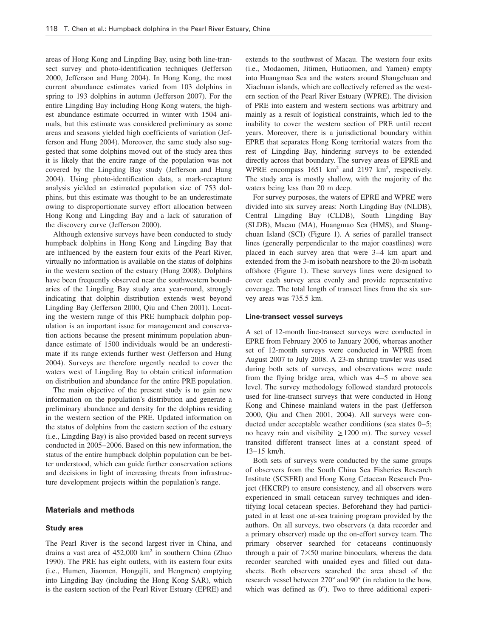areas of Hong Kong and Lingding Bay, using both line-transect survey and photo-identification techniques (Jefferson 2000, Jefferson and Hung 2004). In Hong Kong, the most current abundance estimates varied from 103 dolphins in spring to 193 dolphins in autumn (Jefferson 2007). For the entire Lingding Bay including Hong Kong waters, the highest abundance estimate occurred in winter with 1504 animals, but this estimate was considered preliminary as some areas and seasons yielded high coefficients of variation (Jefferson and Hung 2004). Moreover, the same study also suggested that some dolphins moved out of the study area thus it is likely that the entire range of the population was not covered by the Lingding Bay study (Jefferson and Hung 2004). Using photo-identification data, a mark-recapture analysis yielded an estimated population size of 753 dolphins, but this estimate was thought to be an underestimate owing to disproportionate survey effort allocation between Hong Kong and Lingding Bay and a lack of saturation of the discovery curve (Jefferson 2000).

Although extensive surveys have been conducted to study humpback dolphins in Hong Kong and Lingding Bay that are influenced by the eastern four exits of the Pearl River, virtually no information is available on the status of dolphins in the western section of the estuary (Hung 2008). Dolphins have been frequently observed near the southwestern boundaries of the Lingding Bay study area year-round, strongly indicating that dolphin distribution extends west beyond Lingding Bay (Jefferson 2000, Qiu and Chen 2001). Locating the western range of this PRE humpback dolphin population is an important issue for management and conservation actions because the present minimum population abundance estimate of 1500 individuals would be an underestimate if its range extends further west (Jefferson and Hung 2004). Surveys are therefore urgently needed to cover the waters west of Lingding Bay to obtain critical information on distribution and abundance for the entire PRE population.

The main objective of the present study is to gain new information on the population's distribution and generate a preliminary abundance and density for the dolphins residing in the western section of the PRE. Updated information on the status of dolphins from the eastern section of the estuary (i.e., Lingding Bay) is also provided based on recent surveys conducted in 2005–2006. Based on this new information, the status of the entire humpback dolphin population can be better understood, which can guide further conservation actions and decisions in light of increasing threats from infrastructure development projects within the population's range.

# **Materials and methods**

#### **Study area**

The Pearl River is the second largest river in China, and drains a vast area of 452,000 km<sup>2</sup> in southern China (Zhao 1990). The PRE has eight outlets, with its eastern four exits (i.e., Humen, Jiaomen, Hongqili, and Hengmen) emptying into Lingding Bay (including the Hong Kong SAR), which is the eastern section of the Pearl River Estuary (EPRE) and extends to the southwest of Macau. The western four exits (i.e., Modaomen, Jitimen, Hutiaomen, and Yamen) empty into Huangmao Sea and the waters around Shangchuan and Xiachuan islands, which are collectively referred as the western section of the Pearl River Estuary (WPRE). The division of PRE into eastern and western sections was arbitrary and mainly as a result of logistical constraints, which led to the inability to cover the western section of PRE until recent years. Moreover, there is a jurisdictional boundary within EPRE that separates Hong Kong territorial waters from the rest of Lingding Bay, hindering surveys to be extended directly across that boundary. The survey areas of EPRE and WPRE encompass  $1651 \text{ km}^2$  and  $2197 \text{ km}^2$ , respectively. The study area is mostly shallow, with the majority of the waters being less than 20 m deep.

For survey purposes, the waters of EPRE and WPRE were divided into six survey areas: North Lingding Bay (NLDB), Central Lingding Bay (CLDB), South Lingding Bay (SLDB), Macau (MA), Huangmao Sea (HMS), and Shangchuan Island (SCI) (Figure 1). A series of parallel transect lines (generally perpendicular to the major coastlines) were placed in each survey area that were 3–4 km apart and extended from the 3-m isobath nearshore to the 20-m isobath offshore (Figure 1). These surveys lines were designed to cover each survey area evenly and provide representative coverage. The total length of transect lines from the six survey areas was 735.5 km.

#### **Line-transect vessel surveys**

A set of 12-month line-transect surveys were conducted in EPRE from February 2005 to January 2006, whereas another set of 12-month surveys were conducted in WPRE from August 2007 to July 2008. A 23-m shrimp trawler was used during both sets of surveys, and observations were made from the flying bridge area, which was 4–5 m above sea level. The survey methodology followed standard protocols used for line-transect surveys that were conducted in Hong Kong and Chinese mainland waters in the past (Jefferson 2000, Qiu and Chen 2001, 2004). All surveys were conducted under acceptable weather conditions (sea states 0–5; no heavy rain and visibility  $\geq$ 1200 m). The survey vessel transited different transect lines at a constant speed of 13–15 km/h.

Both sets of surveys were conducted by the same groups of observers from the South China Sea Fisheries Research Institute (SCSFRI) and Hong Kong Cetacean Research Project (HKCRP) to ensure consistency, and all observers were experienced in small cetacean survey techniques and identifying local cetacean species. Beforehand they had participated in at least one at-sea training program provided by the authors. On all surveys, two observers (a data recorder and a primary observer) made up the on-effort survey team. The primary observer searched for cetaceans continuously through a pair of  $7\times50$  marine binoculars, whereas the data recorder searched with unaided eyes and filled out datasheets. Both observers searched the area ahead of the research vessel between  $270^{\circ}$  and  $90^{\circ}$  (in relation to the bow, which was defined as  $0^{\circ}$ ). Two to three additional experi-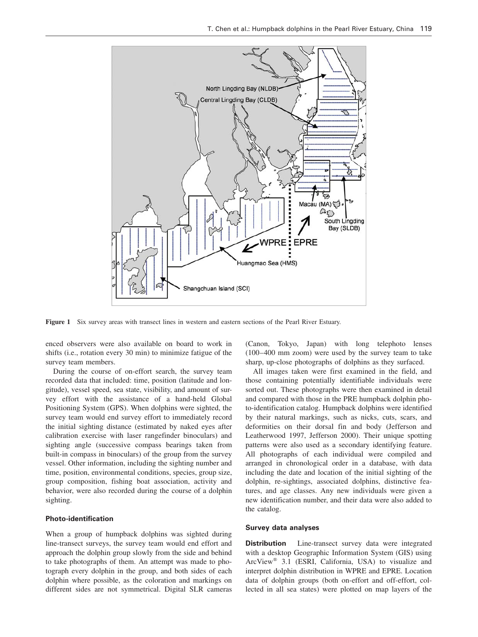

**Figure 1** Six survey areas with transect lines in western and eastern sections of the Pearl River Estuary.

enced observers were also available on board to work in shifts (i.e., rotation every 30 min) to minimize fatigue of the survey team members.

During the course of on-effort search, the survey team recorded data that included: time, position (latitude and longitude), vessel speed, sea state, visibility, and amount of survey effort with the assistance of a hand-held Global Positioning System (GPS). When dolphins were sighted, the survey team would end survey effort to immediately record the initial sighting distance (estimated by naked eyes after calibration exercise with laser rangefinder binoculars) and sighting angle (successive compass bearings taken from built-in compass in binoculars) of the group from the survey vessel. Other information, including the sighting number and time, position, environmental conditions, species, group size, group composition, fishing boat association, activity and behavior, were also recorded during the course of a dolphin sighting.

## **Photo-identification**

When a group of humpback dolphins was sighted during line-transect surveys, the survey team would end effort and approach the dolphin group slowly from the side and behind to take photographs of them. An attempt was made to photograph every dolphin in the group, and both sides of each dolphin where possible, as the coloration and markings on different sides are not symmetrical. Digital SLR cameras (Canon, Tokyo, Japan) with long telephoto lenses (100–400 mm zoom) were used by the survey team to take sharp, up-close photographs of dolphins as they surfaced.

All images taken were first examined in the field, and those containing potentially identifiable individuals were sorted out. These photographs were then examined in detail and compared with those in the PRE humpback dolphin photo-identification catalog. Humpback dolphins were identified by their natural markings, such as nicks, cuts, scars, and deformities on their dorsal fin and body (Jefferson and Leatherwood 1997, Jefferson 2000). Their unique spotting patterns were also used as a secondary identifying feature. All photographs of each individual were compiled and arranged in chronological order in a database, with data including the date and location of the initial sighting of the dolphin, re-sightings, associated dolphins, distinctive features, and age classes. Any new individuals were given a new identification number, and their data were also added to the catalog.

#### **Survey data analyses**

**Distribution** Line-transect survey data were integrated with a desktop Geographic Information System (GIS) using ArcView<sup>®</sup> 3.1 (ESRI, California, USA) to visualize and interpret dolphin distribution in WPRE and EPRE. Location data of dolphin groups (both on-effort and off-effort, collected in all sea states) were plotted on map layers of the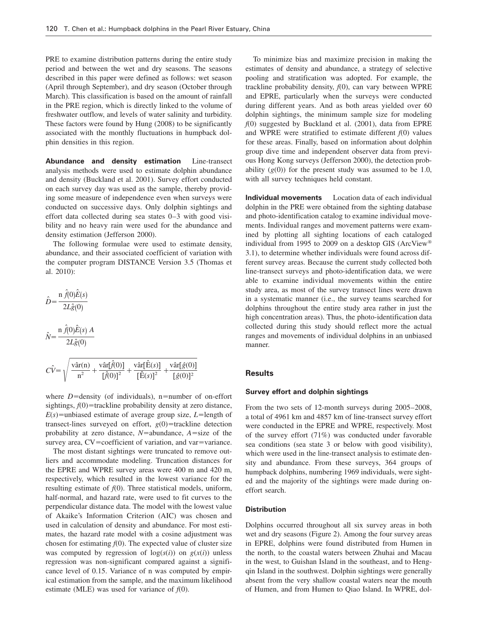PRE to examine distribution patterns during the entire study period and between the wet and dry seasons. The seasons described in this paper were defined as follows: wet season (April through September), and dry season (October through March). This classification is based on the amount of rainfall in the PRE region, which is directly linked to the volume of freshwater outflow, and levels of water salinity and turbidity. These factors were found by Hung (2008) to be significantly associated with the monthly fluctuations in humpback dolphin densities in this region.

**Abundance and density estimation** Line-transect analysis methods were used to estimate dolphin abundance and density (Buckland et al. 2001). Survey effort conducted on each survey day was used as the sample, thereby providing some measure of independence even when surveys were conducted on successive days. Only dolphin sightings and effort data collected during sea states 0–3 with good visibility and no heavy rain were used for the abundance and density estimation (Jefferson 2000).

The following formulae were used to estimate density, abundance, and their associated coefficient of variation with the computer program DISTANCE Version 3.5 (Thomas et al. 2010):

$$
\hat{D} = \frac{\hat{n} \hat{f}(0)\hat{E}(s)}{2L\hat{g}(0)}
$$
\n
$$
\hat{N} = \frac{\hat{n} \hat{f}(0)\hat{E}(s) A}{2L\hat{g}(0)}
$$
\n
$$
C\hat{V} = \sqrt{\frac{\hat{var}(n)}{n^2} + \frac{\hat{var}[\hat{f}(0)]}{[\hat{f}(0)]^2} + \frac{\hat{var}[\hat{E}(s)]}{[\hat{E}(s)]^2} + \frac{\hat{var}[\hat{g}(0)]}{[\hat{g}(0)]^2}}
$$

where  $D =$ density (of individuals), n=number of on-effort sightings,  $f(0)$ =trackline probability density at zero distance,  $E(s)$ =unbiased estimate of average group size, *L*=length of transect-lines surveyed on effort,  $g(0)$ =trackline detection probability at zero distance, *N*=abundance, *A*=size of the survey area, CV=coefficient of variation, and var=variance.

The most distant sightings were truncated to remove outliers and accommodate modeling. Truncation distances for the EPRE and WPRE survey areas were 400 m and 420 m, respectively, which resulted in the lowest variance for the resulting estimate of *f*(0). Three statistical models, uniform, half-normal, and hazard rate, were used to fit curves to the perpendicular distance data. The model with the lowest value of Akaike's Information Criterion (AIC) was chosen and used in calculation of density and abundance. For most estimates, the hazard rate model with a cosine adjustment was chosen for estimating *f*(0). The expected value of cluster size was computed by regression of  $log(s(i))$  on  $g(x(i))$  unless regression was non-significant compared against a significance level of 0.15. Variance of n was computed by empirical estimation from the sample, and the maximum likelihood estimate (MLE) was used for variance of *f*(0).

To minimize bias and maximize precision in making the estimates of density and abundance, a strategy of selective pooling and stratification was adopted. For example, the trackline probability density, *f*(0), can vary between WPRE and EPRE, particularly when the surveys were conducted during different years. And as both areas yielded over 60 dolphin sightings, the minimum sample size for modeling *f*(0) suggested by Buckland et al. (2001), data from EPRE and WPRE were stratified to estimate different  $f(0)$  values for these areas. Finally, based on information about dolphin group dive time and independent observer data from previous Hong Kong surveys (Jefferson 2000), the detection probability  $(g(0))$  for the present study was assumed to be 1.0, with all survey techniques held constant.

**Individual movements** Location data of each individual dolphin in the PRE were obtained from the sighting database and photo-identification catalog to examine individual movements. Individual ranges and movement patterns were examined by plotting all sighting locations of each cataloged individual from 1995 to 2009 on a desktop GIS (ArcView<sup>®</sup> 3.1), to determine whether individuals were found across different survey areas. Because the current study collected both line-transect surveys and photo-identification data, we were able to examine individual movements within the entire study area, as most of the survey transect lines were drawn in a systematic manner (i.e., the survey teams searched for dolphins throughout the entire study area rather in just the high concentration areas). Thus, the photo-identification data collected during this study should reflect more the actual ranges and movements of individual dolphins in an unbiased manner.

# **Results**

## **Survey effort and dolphin sightings**

From the two sets of 12-month surveys during 2005–2008, a total of 4961 km and 4857 km of line-transect survey effort were conducted in the EPRE and WPRE, respectively. Most of the survey effort (71%) was conducted under favorable sea conditions (sea state 3 or below with good visibility), which were used in the line-transect analysis to estimate density and abundance. From these surveys, 364 groups of humpback dolphins, numbering 1969 individuals, were sighted and the majority of the sightings were made during oneffort search.

## **Distribution**

Dolphins occurred throughout all six survey areas in both wet and dry seasons (Figure 2). Among the four survey areas in EPRE, dolphins were found distributed from Humen in the north, to the coastal waters between Zhuhai and Macau in the west, to Guishan Island in the southeast, and to Hengqin Island in the southwest. Dolphin sightings were generally absent from the very shallow coastal waters near the mouth of Humen, and from Humen to Qiao Island. In WPRE, dol-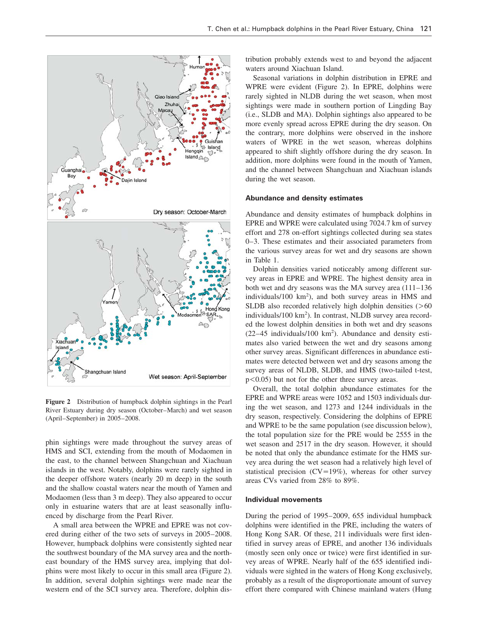

**Figure 2** Distribution of humpback dolphin sightings in the Pearl River Estuary during dry season (October–March) and wet season (April–September) in 2005–2008.

phin sightings were made throughout the survey areas of HMS and SCI, extending from the mouth of Modaomen in the east, to the channel between Shangchuan and Xiachuan islands in the west. Notably, dolphins were rarely sighted in the deeper offshore waters (nearly 20 m deep) in the south and the shallow coastal waters near the mouth of Yamen and Modaomen (less than 3 m deep). They also appeared to occur only in estuarine waters that are at least seasonally influenced by discharge from the Pearl River.

A small area between the WPRE and EPRE was not covered during either of the two sets of surveys in 2005–2008. However, humpback dolphins were consistently sighted near the southwest boundary of the MA survey area and the northeast boundary of the HMS survey area, implying that dolphins were most likely to occur in this small area (Figure 2). In addition, several dolphin sightings were made near the western end of the SCI survey area. Therefore, dolphin distribution probably extends west to and beyond the adjacent waters around Xiachuan Island.

Seasonal variations in dolphin distribution in EPRE and WPRE were evident (Figure 2). In EPRE, dolphins were rarely sighted in NLDB during the wet season, when most sightings were made in southern portion of Lingding Bay (i.e., SLDB and MA). Dolphin sightings also appeared to be more evenly spread across EPRE during the dry season. On the contrary, more dolphins were observed in the inshore waters of WPRE in the wet season, whereas dolphins appeared to shift slightly offshore during the dry season. In addition, more dolphins were found in the mouth of Yamen, and the channel between Shangchuan and Xiachuan islands during the wet season.

## **Abundance and density estimates**

Abundance and density estimates of humpback dolphins in EPRE and WPRE were calculated using 7024.7 km of survey effort and 278 on-effort sightings collected during sea states 0–3. These estimates and their associated parameters from the various survey areas for wet and dry seasons are shown in Table 1.

Dolphin densities varied noticeably among different survey areas in EPRE and WPRE. The highest density area in both wet and dry seasons was the MA survey area (111–136 individuals/100 km2 ), and both survey areas in HMS and SLDB also recorded relatively high dolphin densities  $($ >60 individuals/100 km<sup>2</sup>). In contrast, NLDB survey area recorded the lowest dolphin densities in both wet and dry seasons (22–45 individuals/100 km2 ). Abundance and density estimates also varied between the wet and dry seasons among other survey areas. Significant differences in abundance estimates were detected between wet and dry seasons among the survey areas of NLDB, SLDB, and HMS (two-tailed t-test,  $p<0.05$ ) but not for the other three survey areas.

Overall, the total dolphin abundance estimates for the EPRE and WPRE areas were 1052 and 1503 individuals during the wet season, and 1273 and 1244 individuals in the dry season, respectively. Considering the dolphins of EPRE and WPRE to be the same population (see discussion below), the total population size for the PRE would be 2555 in the wet season and 2517 in the dry season. However, it should be noted that only the abundance estimate for the HMS survey area during the wet season had a relatively high level of statistical precision ( $CV=19\%$ ), whereas for other survey areas CVs varied from 28% to 89%.

## **Individual movements**

During the period of 1995–2009, 655 individual humpback dolphins were identified in the PRE, including the waters of Hong Kong SAR. Of these, 211 individuals were first identified in survey areas of EPRE, and another 136 individuals (mostly seen only once or twice) were first identified in survey areas of WPRE. Nearly half of the 655 identified individuals were sighted in the waters of Hong Kong exclusively, probably as a result of the disproportionate amount of survey effort there compared with Chinese mainland waters (Hung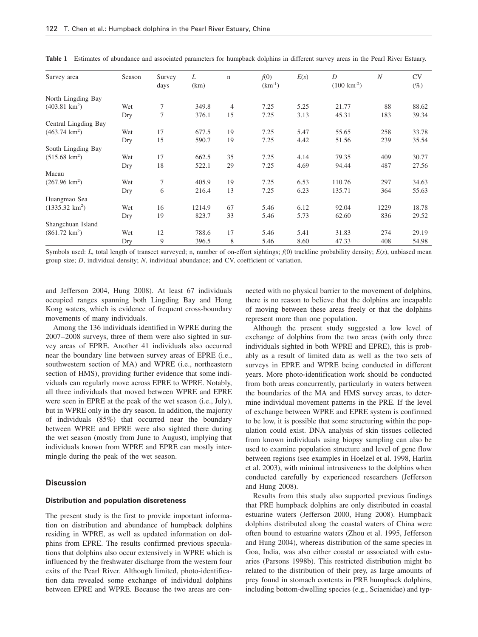| Survey area              | Season | Survey<br>days | L<br>(km) | $\mathbf n$    | f(0)<br>$(km^{-1})$ | E(s) | $\overline{D}$<br>$(100 \text{ km}^{-2})$ | $\overline{N}$ | <b>CV</b><br>$(\%)$ |
|--------------------------|--------|----------------|-----------|----------------|---------------------|------|-------------------------------------------|----------------|---------------------|
| North Lingding Bay       |        |                |           |                |                     |      |                                           |                |                     |
| $(403.81 \text{ km}^2)$  | Wet    | 7              | 349.8     | $\overline{4}$ | 7.25                | 5.25 | 21.77                                     | 88             | 88.62               |
|                          | Dry    | 7              | 376.1     | 15             | 7.25                | 3.13 | 45.31                                     | 183            | 39.34               |
| Central Lingding Bay     |        |                |           |                |                     |      |                                           |                |                     |
| $(463.74 \text{ km}^2)$  | Wet    | 17             | 677.5     | 19             | 7.25                | 5.47 | 55.65                                     | 258            | 33.78               |
|                          | Dry    | 15             | 590.7     | 19             | 7.25                | 4.42 | 51.56                                     | 239            | 35.54               |
| South Lingding Bay       |        |                |           |                |                     |      |                                           |                |                     |
| $(515.68 \text{ km}^2)$  | Wet    | 17             | 662.5     | 35             | 7.25                | 4.14 | 79.35                                     | 409            | 30.77               |
|                          | Dry    | 18             | 522.1     | 29             | 7.25                | 4.69 | 94.44                                     | 487            | 27.56               |
| Macau                    |        |                |           |                |                     |      |                                           |                |                     |
| $(267.96 \text{ km}^2)$  | Wet    | 7              | 405.9     | 19             | 7.25                | 6.53 | 110.76                                    | 297            | 34.63               |
|                          | Dry    | 6              | 216.4     | 13             | 7.25                | 6.23 | 135.71                                    | 364            | 55.63               |
| Huangmao Sea             |        |                |           |                |                     |      |                                           |                |                     |
| $(1335.32 \text{ km}^2)$ | Wet    | 16             | 1214.9    | 67             | 5.46                | 6.12 | 92.04                                     | 1229           | 18.78               |
|                          | Dry    | 19             | 823.7     | 33             | 5.46                | 5.73 | 62.60                                     | 836            | 29.52               |
| Shangchuan Island        |        |                |           |                |                     |      |                                           |                |                     |
| $(861.72 \text{ km}^2)$  | Wet    | 12             | 788.6     | 17             | 5.46                | 5.41 | 31.83                                     | 274            | 29.19               |
|                          | Dry    | 9              | 396.5     | 8              | 5.46                | 8.60 | 47.33                                     | 408            | 54.98               |

**Table 1** Estimates of abundance and associated parameters for humpback dolphins in different survey areas in the Pearl River Estuary.

Symbols used: *L*, total length of transect surveyed; n, number of on-effort sightings; *f*(0) trackline probability density; *E*(*s*), unbiased mean group size; *D*, individual density; *N*, individual abundance; and CV, coefficient of variation.

and Jefferson 2004, Hung 2008). At least 67 individuals occupied ranges spanning both Lingding Bay and Hong Kong waters, which is evidence of frequent cross-boundary movements of many individuals.

Among the 136 individuals identified in WPRE during the 2007–2008 surveys, three of them were also sighted in survey areas of EPRE. Another 41 individuals also occurred near the boundary line between survey areas of EPRE (i.e., southwestern section of MA) and WPRE (i.e., northeastern section of HMS), providing further evidence that some individuals can regularly move across EPRE to WPRE. Notably, all three individuals that moved between WPRE and EPRE were seen in EPRE at the peak of the wet season (i.e., July), but in WPRE only in the dry season. In addition, the majority of individuals (85%) that occurred near the boundary between WPRE and EPRE were also sighted there during the wet season (mostly from June to August), implying that individuals known from WPRE and EPRE can mostly intermingle during the peak of the wet season.

# **Discussion**

## **Distribution and population discreteness**

The present study is the first to provide important information on distribution and abundance of humpback dolphins residing in WPRE, as well as updated information on dolphins from EPRE. The results confirmed previous speculations that dolphins also occur extensively in WPRE which is influenced by the freshwater discharge from the western four exits of the Pearl River. Although limited, photo-identification data revealed some exchange of individual dolphins between EPRE and WPRE. Because the two areas are connected with no physical barrier to the movement of dolphins, there is no reason to believe that the dolphins are incapable of moving between these areas freely or that the dolphins represent more than one population.

Although the present study suggested a low level of exchange of dolphins from the two areas (with only three individuals sighted in both WPRE and EPRE), this is probably as a result of limited data as well as the two sets of surveys in EPRE and WPRE being conducted in different years. More photo-identification work should be conducted from both areas concurrently, particularly in waters between the boundaries of the MA and HMS survey areas, to determine individual movement patterns in the PRE. If the level of exchange between WPRE and EPRE system is confirmed to be low, it is possible that some structuring within the population could exist. DNA analysis of skin tissues collected from known individuals using biopsy sampling can also be used to examine population structure and level of gene flow between regions (see examples in Hoelzel et al. 1998, Harlin et al. 2003), with minimal intrusiveness to the dolphins when conducted carefully by experienced researchers (Jefferson and Hung 2008).

Results from this study also supported previous findings that PRE humpback dolphins are only distributed in coastal estuarine waters (Jefferson 2000, Hung 2008). Humpback dolphins distributed along the coastal waters of China were often bound to estuarine waters (Zhou et al. 1995, Jefferson and Hung 2004), whereas distribution of the same species in Goa, India, was also either coastal or associated with estuaries (Parsons 1998b). This restricted distribution might be related to the distribution of their prey, as large amounts of prey found in stomach contents in PRE humpback dolphins, including bottom-dwelling species (e.g., Sciaenidae) and typ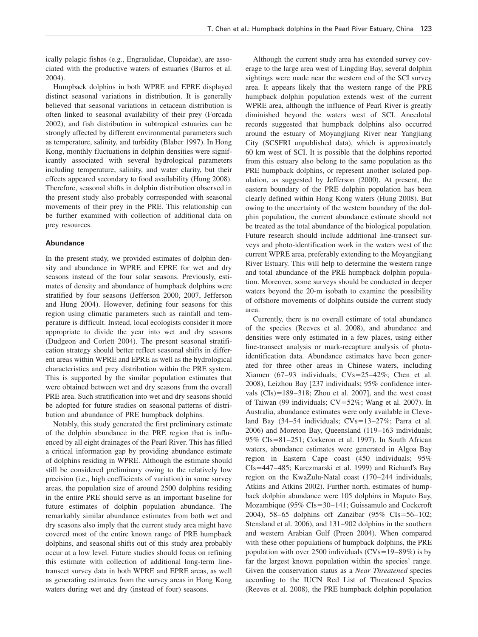ically pelagic fishes (e.g., Engraulidae, Clupeidae), are associated with the productive waters of estuaries (Barros et al. 2004).

Humpback dolphins in both WPRE and EPRE displayed distinct seasonal variations in distribution. It is generally believed that seasonal variations in cetacean distribution is often linked to seasonal availability of their prey (Forcada 2002), and fish distribution in subtropical estuaries can be strongly affected by different environmental parameters such as temperature, salinity, and turbidity (Blaber 1997). In Hong Kong, monthly fluctuations in dolphin densities were significantly associated with several hydrological parameters including temperature, salinity, and water clarity, but their effects appeared secondary to food availability (Hung 2008). Therefore, seasonal shifts in dolphin distribution observed in the present study also probably corresponded with seasonal movements of their prey in the PRE. This relationship can be further examined with collection of additional data on prey resources.

#### **Abundance**

In the present study, we provided estimates of dolphin density and abundance in WPRE and EPRE for wet and dry seasons instead of the four solar seasons. Previously, estimates of density and abundance of humpback dolphins were stratified by four seasons (Jefferson 2000, 2007, Jefferson and Hung 2004). However, defining four seasons for this region using climatic parameters such as rainfall and temperature is difficult. Instead, local ecologists consider it more appropriate to divide the year into wet and dry seasons (Dudgeon and Corlett 2004). The present seasonal stratification strategy should better reflect seasonal shifts in different areas within WPRE and EPRE as well as the hydrological characteristics and prey distribution within the PRE system. This is supported by the similar population estimates that were obtained between wet and dry seasons from the overall PRE area. Such stratification into wet and dry seasons should be adopted for future studies on seasonal patterns of distribution and abundance of PRE humpback dolphins.

Notably, this study generated the first preliminary estimate of the dolphin abundance in the PRE region that is influenced by all eight drainages of the Pearl River. This has filled a critical information gap by providing abundance estimate of dolphins residing in WPRE. Although the estimate should still be considered preliminary owing to the relatively low precision (i.e., high coefficients of variation) in some survey areas, the population size of around 2500 dolphins residing in the entire PRE should serve as an important baseline for future estimates of dolphin population abundance. The remarkably similar abundance estimates from both wet and dry seasons also imply that the current study area might have covered most of the entire known range of PRE humpback dolphins, and seasonal shifts out of this study area probably occur at a low level. Future studies should focus on refining this estimate with collection of additional long-term linetransect survey data in both WPRE and EPRE areas, as well as generating estimates from the survey areas in Hong Kong waters during wet and dry (instead of four) seasons.

Although the current study area has extended survey coverage to the large area west of Lingding Bay, several dolphin sightings were made near the western end of the SCI survey area. It appears likely that the western range of the PRE humpback dolphin population extends west of the current WPRE area, although the influence of Pearl River is greatly diminished beyond the waters west of SCI. Anecdotal records suggested that humpback dolphins also occurred around the estuary of Moyangjiang River near Yangjiang City (SCSFRI unpublished data), which is approximately 60 km west of SCI. It is possible that the dolphins reported from this estuary also belong to the same population as the PRE humpback dolphins, or represent another isolated population, as suggested by Jefferson (2000). At present, the eastern boundary of the PRE dolphin population has been clearly defined within Hong Kong waters (Hung 2008). But owing to the uncertainty of the western boundary of the dolphin population, the current abundance estimate should not be treated as the total abundance of the biological population. Future research should include additional line-transect surveys and photo-identification work in the waters west of the current WPRE area, preferably extending to the Moyangjiang River Estuary. This will help to determine the western range and total abundance of the PRE humpback dolphin population. Moreover, some surveys should be conducted in deeper waters beyond the 20-m isobath to examine the possibility of offshore movements of dolphins outside the current study area.

Currently, there is no overall estimate of total abundance of the species (Reeves et al. 2008), and abundance and densities were only estimated in a few places, using either line-transect analysis or mark-recapture analysis of photoidentification data. Abundance estimates have been generated for three other areas in Chinese waters, including Xiamen (67–93 individuals;  $CVs=25-42\%$ ; Chen et al. 2008), Leizhou Bay [237 individuals; 95% confidence intervals  $(CIs)=189-318$ ; Zhou et al. 2007], and the west coast of Taiwan (99 individuals;  $CV=52\%$ ; Wang et al. 2007). In Australia, abundance estimates were only available in Cleveland Bay  $(34-54 \text{ individuals}; CVs=13-27\%)$ ; Parra et al. 2006) and Moreton Bay, Queensland (119–163 individuals; 95% CIs=81–251; Corkeron et al. 1997). In South African waters, abundance estimates were generated in Algoa Bay region in Eastern Cape coast (450 individuals; 95% CIs=447–485; Karczmarski et al. 1999) and Richard's Bay region on the KwaZulu-Natal coast (170–244 individuals; Atkins and Atkins 2002). Further north, estimates of humpback dolphin abundance were 105 dolphins in Maputo Bay, Mozambique ( $95\%$  CIs=30–141; Guissamulo and Cockcroft 2004), 58–65 dolphins off Zanzibar (95% CIs=56–102; Stensland et al. 2006), and 131–902 dolphins in the southern and western Arabian Gulf (Preen 2004). When compared with these other populations of humpback dolphins, the PRE population with over 2500 individuals  $(CVs=19-89%)$  is by far the largest known population within the species' range. Given the conservation status as a *Near Threatened* species according to the IUCN Red List of Threatened Species (Reeves et al. 2008), the PRE humpback dolphin population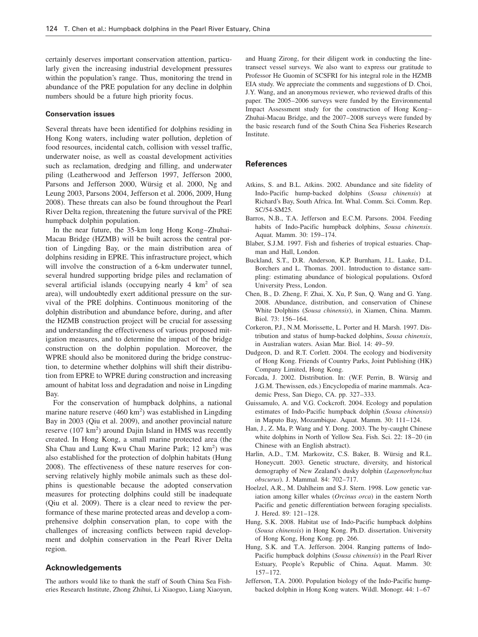certainly deserves important conservation attention, particularly given the increasing industrial development pressures within the population's range. Thus, monitoring the trend in abundance of the PRE population for any decline in dolphin numbers should be a future high priority focus.

#### **Conservation issues**

Several threats have been identified for dolphins residing in Hong Kong waters, including water pollution, depletion of food resources, incidental catch, collision with vessel traffic, underwater noise, as well as coastal development activities such as reclamation, dredging and filling, and underwater piling (Leatherwood and Jefferson 1997, Jefferson 2000, Parsons and Jefferson 2000, Würsig et al. 2000, Ng and Leung 2003, Parsons 2004, Jefferson et al. 2006, 2009, Hung 2008). These threats can also be found throughout the Pearl River Delta region, threatening the future survival of the PRE humpback dolphin population.

In the near future, the 35-km long Hong Kong–Zhuhai-Macau Bridge (HZMB) will be built across the central portion of Lingding Bay, or the main distribution area of dolphins residing in EPRE. This infrastructure project, which will involve the construction of a 6-km underwater tunnel, several hundred supporting bridge piles and reclamation of several artificial islands (occupying nearly 4 km<sup>2</sup> of sea area), will undoubtedly exert additional pressure on the survival of the PRE dolphins. Continuous monitoring of the dolphin distribution and abundance before, during, and after the HZMB construction project will be crucial for assessing and understanding the effectiveness of various proposed mitigation measures, and to determine the impact of the bridge construction on the dolphin population. Moreover, the WPRE should also be monitored during the bridge construction, to determine whether dolphins will shift their distribution from EPRE to WPRE during construction and increasing amount of habitat loss and degradation and noise in Lingding Bay.

For the conservation of humpback dolphins, a national marine nature reserve  $(460 \text{ km}^2)$  was established in Lingding Bay in 2003 (Qiu et al. 2009), and another provincial nature reserve (107 km<sup>2</sup>) around Dajin Island in HMS was recently created. In Hong Kong, a small marine protected area (the Sha Chau and Lung Kwu Chau Marine Park; 12 km<sup>2</sup>) was also established for the protection of dolphin habitats (Hung 2008). The effectiveness of these nature reserves for conserving relatively highly mobile animals such as these dolphins is questionable because the adopted conservation measures for protecting dolphins could still be inadequate (Qiu et al. 2009). There is a clear need to review the performance of these marine protected areas and develop a comprehensive dolphin conservation plan, to cope with the challenges of increasing conflicts between rapid development and dolphin conservation in the Pearl River Delta region.

## **Acknowledgements**

The authors would like to thank the staff of South China Sea Fisheries Research Institute, Zhong Zhihui, Li Xiaoguo, Liang Xiaoyun, and Huang Zirong, for their diligent work in conducting the linetransect vessel surveys. We also want to express our gratitude to Professor He Guomin of SCSFRI for his integral role in the HZMB EIA study. We appreciate the comments and suggestions of D. Choi, J.Y. Wang, and an anonymous reviewer, who reviewed drafts of this paper. The 2005–2006 surveys were funded by the Environmental Impact Assessment study for the construction of Hong Kong– Zhuhai-Macau Bridge, and the 2007–2008 surveys were funded by the basic research fund of the South China Sea Fisheries Research **Institute** 

## **References**

- Atkins, S. and B.L. Atkins. 2002. Abundance and site fidelity of Indo-Pacific hump-backed dolphins (*Sousa chinensis*) at Richard's Bay, South Africa. Int. Whal. Comm. Sci. Comm. Rep. SC/54-SM25.
- Barros, N.B., T.A. Jefferson and E.C.M. Parsons. 2004. Feeding habits of Indo-Pacific humpback dolphins, *Sousa chinensis*. Aquat. Mamm. 30: 159–174.
- Blaber, S.J.M. 1997. Fish and fisheries of tropical estuaries. Chapman and Hall, London.
- Buckland, S.T., D.R. Anderson, K.P. Burnham, J.L. Laake, D.L. Borchers and L. Thomas. 2001. Introduction to distance sampling: estimating abundance of biological populations. Oxford University Press, London.
- Chen, B., D. Zheng, F. Zhai, X. Xu, P. Sun, Q. Wang and G. Yang. 2008. Abundance, distribution, and conservation of Chinese White Dolphins (*Sousa chinensis*), in Xiamen, China. Mamm. Biol. 73: 156–164.
- Corkeron, P.J., N.M. Morissette, L. Porter and H. Marsh. 1997. Distribution and status of hump-backed dolphins, *Sousa chinensis*, in Australian waters. Asian Mar. Biol. 14: 49–59.
- Dudgeon, D. and R.T. Corlett. 2004. The ecology and biodiversity of Hong Kong. Friends of Country Parks, Joint Publishing (HK) Company Limited, Hong Kong.
- Forcada, J. 2002. Distribution. In: (W.F. Perrin, B. Würsig and J.G.M. Thewissen, eds.) Encyclopedia of marine mammals. Academic Press, San Diego, CA. pp. 327–333.
- Guissamulo, A. and V.G. Cockcroft. 2004. Ecology and population estimates of Indo-Pacific humpback dolphin (*Sousa chinensis*) in Maputo Bay, Mozambique. Aquat. Mamm. 30: 111–124.
- Han, J., Z. Ma, P. Wang and Y. Dong. 2003. The by-caught Chinese white dolphins in North of Yellow Sea. Fish. Sci. 22: 18–20 (in Chinese with an English abstract).
- Harlin, A.D., T.M. Markowitz, C.S. Baker, B. Würsig and R.L. Honeycutt. 2003. Genetic structure, diversity, and historical demography of New Zealand's dusky dolphin (*Lagenorhynchus obscurus*). J. Mammal. 84: 702–717.
- Hoelzel, A.R., M. Dahlheim and S.J. Stern. 1998. Low genetic variation among killer whales (*Orcinus orca*) in the eastern North Pacific and genetic differentiation between foraging specialists. J. Hered. 89: 121–128.
- Hung, S.K. 2008. Habitat use of Indo-Pacific humpback dolphins (*Sousa chinensis*) in Hong Kong. Ph.D. dissertation. University of Hong Kong, Hong Kong. pp. 266.
- Hung, S.K. and T.A. Jefferson. 2004. Ranging patterns of Indo-Pacific humpback dolphins (*Sousa chinensis*) in the Pearl River Estuary, People's Republic of China. Aquat. Mamm. 30: 157–172.
- Jefferson, T.A. 2000. Population biology of the Indo-Pacific humpbacked dolphin in Hong Kong waters. Wildl. Monogr. 44: 1–67